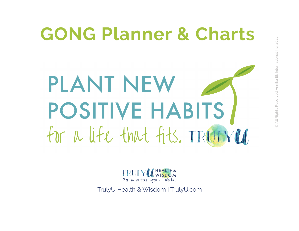# **GONG Planner & Charts** PLANT NEW POSITIVE HABITS for a life that fits. TRUIVED

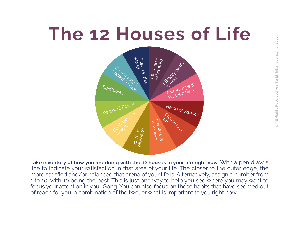# **The 12 Houses of Life**



**Take inventory of how you are doing with the 12 houses in your life right now.** With a pen draw a line to indicate your satisfaction in that area of your life. The closer to the outer edge, the more satisfied and/or balanced that arena of your life is. Alternatively, assign a number from 1 to 10, with 10 being the best. This is just one way to help you see where you may want to focus your attention in your Gong. You can also focus on those habits that have seemed out of reach for you, a combination of the two, or what is important to you right now.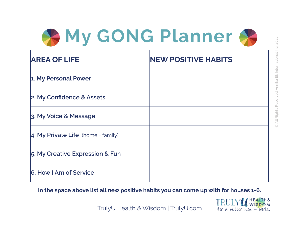

| <b>AREA OF LIFE</b>                        | <b>NEW POSITIVE HABITS</b> |
|--------------------------------------------|----------------------------|
| 1. My Personal Power                       |                            |
| 2. My Confidence & Assets                  |                            |
| 3. My Voice & Message                      |                            |
| $\vert$ 4. My Private Life (home + family) |                            |
| 5. My Creative Expression & Fun            |                            |
| 6. How I Am of Service                     |                            |

**In the space above list all new positive habits you can come up with for houses 1-6.**

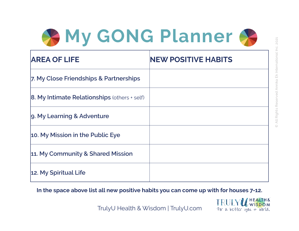

| <b>AREA OF LIFE</b>                                 | <b>NEW POSITIVE HABITS</b> |
|-----------------------------------------------------|----------------------------|
| 7. My Close Friendships & Partnerships              |                            |
| <b>8. My Intimate Relationships (others + self)</b> |                            |
| 9. My Learning & Adventure                          |                            |
| 10. My Mission in the Public Eye                    |                            |
| 11. My Community & Shared Mission                   |                            |
| 12. My Spiritual Life                               |                            |

**In the space above list all new positive habits you can come up with for houses 7-12.**

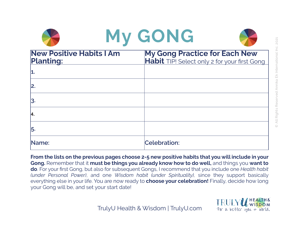|                                                     | My GONG                                                                              |
|-----------------------------------------------------|--------------------------------------------------------------------------------------|
| <b>New Positive Habits I Am</b><br><b>Planting:</b> | <b>My Gong Practice for Each New</b><br>Habit TIP! Select only 2 for your first Gong |
| 1                                                   |                                                                                      |
| 2.                                                  |                                                                                      |
| 3.                                                  |                                                                                      |
| 14.                                                 |                                                                                      |
| 5.                                                  |                                                                                      |
| Name:                                               | <b>Celebration:</b>                                                                  |

**From the lists on the previous pages choose 2-5 new positive habits that you will include in your Gong.** Remember that it **must be things you already know how to do well,** and things you **want to do**. For your first Gong, but also for subsequent Gongs, I recommend that you include one *Health habit (under Personal Power)*, and one *Wisdom habit (under Spirituality),* since they support basically everything else in your life. You are now ready to **choose your celebration!** Finally, decide how long your Gong will be, and set your start date!



7 or a better you + world.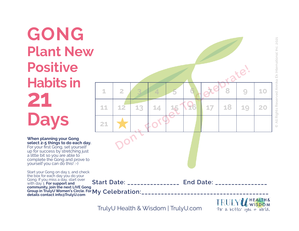**GONG Plant New Positive** 2 3 4 5 a xelovate!<br>
12 13 14 15 17 18 19<br>
<del>1</del> 10 0 0 17 18 19 **Habits in**  $1$  | 2 | 3 | 4 | 5 | 6 |  $\alpha$  |  $\beta$  | 9 | 10 **21 11 12 13 14 15 16 17 18 19 20 Days 21 When planning your Gong select 2-5 things to do each day.** For your first Gong, set yourself up for success by stretching just a little bit so you are able to complete the Gong and prove to yourself you can do this! :-) Start your Gong on day 1, and check the box for each day you do your Gong. If you miss a day, start over **Start Date:**  The Book of End Date: with day 1. **For support and community, join the next LIVE Gong Group in TrulyU Women's Circle. For** Group in TrulyU Women's Circle. For My Celebration:\_\_\_\_\_\_\_\_\_\_\_\_\_\_\_\_\_\_\_\_\_\_\_\_\_\_\_\_\_\_<br>details contact info@TrulyU.com **HEALTH&**<br>WISDOM

TrulyU Health & Wisdom | TrulyU.com

All Rights Reserved Annika Ek International Inc. 2021 © All Rights Reserved Annika Ek International Inc. 2021  $\odot$ 

7or a better vou + world.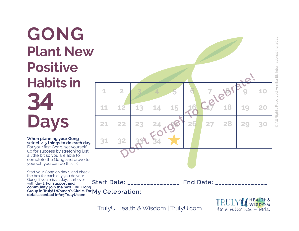All Rights Reserved Annika Ek International Inc. 2021 © All Rights Reserved Annika Ek International Inc. 2021  $\odot$ 

7 or a better you + world.

#### **GONG Plant New Positive** 2 3 4 5 6 7 8 8 18 19 **Habits in**  $1$  **2 3 4 5 6 7 8 6 10 34 11 12 13 14 15 16 17 18 19 20 Days 21 22 23 24 25 26 27 28 29 30 When planning your Gong 31 32 33 34 select 2-5 things to do each day.** For your first Gong, set yourself up for success by stretching just a little bit so you are able to complete the Gong and prove to yourself you can do this! :-) Start your Gong on day 1, and check the box for each day you do your Gong. If you miss a day, start over **Start Date:**  The Basic End Date:  $\blacksquare$ with day 1. **For support and community, join the next LIVE Gong** Group in TrulyU Women's Circle. For My Celebration:\_\_\_\_\_\_\_\_\_\_\_\_\_\_\_\_\_\_\_\_\_\_\_\_\_\_\_\_\_\_<br>details.contact.info@TrulyLLcom **details contact info@TrulyU.comHEALTH&**<br>/ WI<mark>SDO</mark>M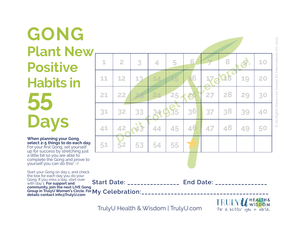## **GONG Plant New Positive Habits in 55 Days**

**When planning your Gong select 2-5 things to do each day.** For your first Gong, set yourself up for success by stretching just a little bit so you are able to complete the Gong and prove to yourself you can do this! :-)

**Start Date:**  The Basic End Date:  $\blacksquare$ Group in TrulyU Women's Circle. For My Celebration:\_\_\_\_\_\_\_\_\_\_\_\_\_\_\_\_\_\_\_\_\_\_\_\_\_\_\_\_\_\_<br>details.contact.info@TrulyLLcom Start your Gong on day 1, and check the box for each day you do your Gong. If you miss a day, start over with day 1. **For support and community, join the next LIVE Gong details contact info@TrulyU.com**

TrulyU Health & Wisdom | TrulyU.com



All Rights Reserved Annika Ek International Inc. 2021 © All Rights Reserved Annika Ek International Inc. 2021  $\odot$ 

HEALTHA

7 or a better you + world.